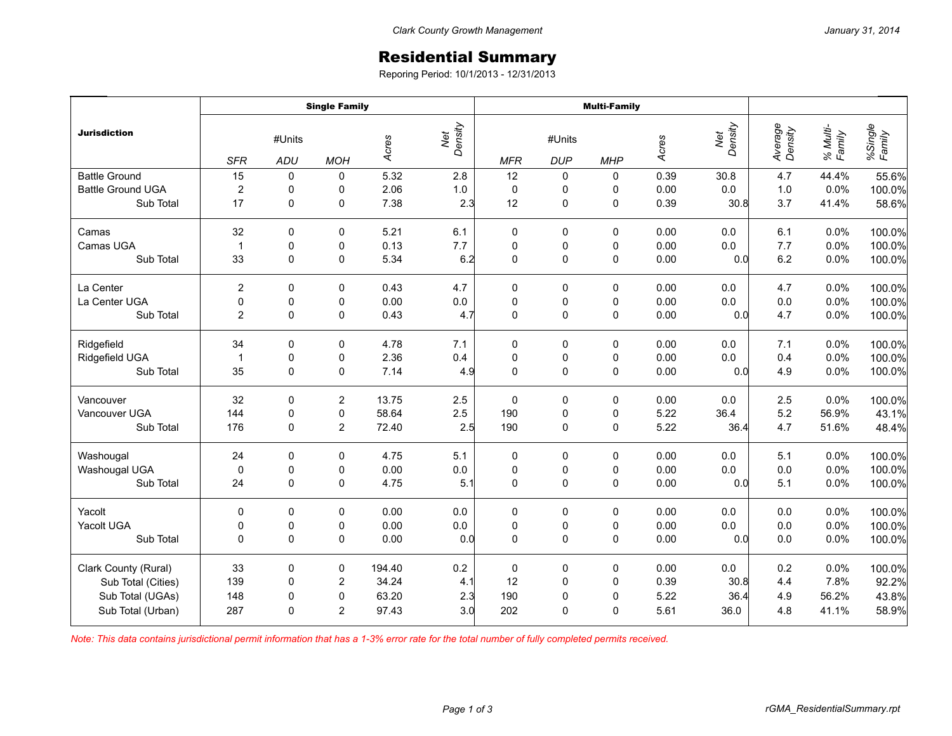## Residential Summary

Reporing Period: 10/1/2013 - 12/31/2013

|                          | <b>Single Family</b> |              |                |        |                | <b>Multi-Family</b> |             |             |       |                |                    |                    |                   |
|--------------------------|----------------------|--------------|----------------|--------|----------------|---------------------|-------------|-------------|-------|----------------|--------------------|--------------------|-------------------|
| <b>Jurisdiction</b>      | #Units               |              |                | Acres  | Net<br>Density | #Units              |             |             | Acres | Density<br>Net | Average<br>Density | % Multi-<br>Family | %Single<br>Family |
|                          | <b>SFR</b>           | <b>ADU</b>   | <b>MOH</b>     |        |                | <b>MFR</b>          | <b>DUP</b>  | <b>MHP</b>  |       |                |                    |                    |                   |
| <b>Battle Ground</b>     | 15                   | 0            | 0              | 5.32   | 2.8            | 12                  | 0           | 0           | 0.39  | 30.8           | 4.7                | 44.4%              | 55.6%             |
| <b>Battle Ground UGA</b> | $\overline{2}$       | $\pmb{0}$    | 0              | 2.06   | 1.0            | $\mathbf 0$         | $\mathbf 0$ | 0           | 0.00  | 0.0            | $1.0$              | 0.0%               | 100.0%            |
| Sub Total                | 17                   | $\pmb{0}$    | $\pmb{0}$      | 7.38   | 2.3            | 12                  | 0           | 0           | 0.39  | 30.8           | 3.7                | 41.4%              | 58.6%             |
| Camas                    | 32                   | 0            | 0              | 5.21   | 6.1            | 0                   | 0           | 0           | 0.00  | 0.0            | 6.1                | 0.0%               | 100.0%            |
| Camas UGA                | $\mathbf{1}$         | $\pmb{0}$    | $\pmb{0}$      | 0.13   | 7.7            | $\mathbf 0$         | 0           | $\mathbf 0$ | 0.00  | $0.0\,$        | 7.7                | 0.0%               | 100.0%            |
| Sub Total                | 33                   | $\mathbf 0$  | $\pmb{0}$      | 5.34   | 6.2            | 0                   | 0           | $\mathbf 0$ | 0.00  | 0.0            | 6.2                | 0.0%               | 100.0%            |
| La Center                | $\overline{2}$       | $\mathbf 0$  | $\mathbf 0$    | 0.43   | 4.7            | 0                   | 0           | 0           | 0.00  | 0.0            | 4.7                | 0.0%               | 100.0%            |
| La Center UGA            | $\pmb{0}$            | $\pmb{0}$    | 0              | 0.00   | 0.0            | 0                   | 0           | 0           | 0.00  | 0.0            | $0.0\,$            | 0.0%               | 100.0%            |
| Sub Total                | $\overline{2}$       | $\pmb{0}$    | $\pmb{0}$      | 0.43   | 4.7            | $\mathbf 0$         | 0           | 0           | 0.00  | 0.0            | 4.7                | 0.0%               | 100.0%            |
| Ridgefield               | 34                   | 0            | 0              | 4.78   | 7.1            | 0                   | 0           | 0           | 0.00  | 0.0            | 7.1                | 0.0%               | 100.0%            |
| Ridgefield UGA           | $\mathbf{1}$         | $\pmb{0}$    | $\pmb{0}$      | 2.36   | 0.4            | $\pmb{0}$           | $\pmb{0}$   | $\pmb{0}$   | 0.00  | $0.0\,$        | 0.4                | 0.0%               | 100.0%            |
| Sub Total                | 35                   | $\mathbf 0$  | $\mathbf 0$    | 7.14   | 4.9            | $\mathbf 0$         | 0           | 0           | 0.00  | 0.0            | 4.9                | 0.0%               | 100.0%            |
| Vancouver                | 32                   | 0            | $\overline{2}$ | 13.75  | 2.5            | $\mathbf 0$         | 0           | $\mathbf 0$ | 0.00  | 0.0            | 2.5                | 0.0%               | 100.0%            |
| Vancouver UGA            | 144                  | $\pmb{0}$    | $\pmb{0}$      | 58.64  | 2.5            | 190                 | 0           | 0           | 5.22  | 36.4           | 5.2                | 56.9%              | 43.1%             |
| Sub Total                | 176                  | $\mathbf 0$  | $\overline{2}$ | 72.40  | 2.5            | 190                 | 0           | 0           | 5.22  | 36.4           | 4.7                | 51.6%              | 48.4%             |
| Washougal                | 24                   | $\pmb{0}$    | $\pmb{0}$      | 4.75   | 5.1            | $\mathbf 0$         | 0           | $\pmb{0}$   | 0.00  | 0.0            | 5.1                | 0.0%               | 100.0%            |
| Washougal UGA            | $\pmb{0}$            | $\pmb{0}$    | $\pmb{0}$      | 0.00   | $0.0\,$        | $\pmb{0}$           | $\pmb{0}$   | $\pmb{0}$   | 0.00  | $0.0\,$        | 0.0                | 0.0%               | 100.0%            |
| Sub Total                | 24                   | $\mathbf 0$  | $\mathbf 0$    | 4.75   | 5.1            | $\mathbf 0$         | 0           | 0           | 0.00  | 0.0            | 5.1                | 0.0%               | 100.0%            |
| Yacolt                   | $\mathbf 0$          | 0            | 0              | 0.00   | 0.0            | 0                   | 0           | 0           | 0.00  | 0.0            | 0.0                | 0.0%               | 100.0%            |
| Yacolt UGA               | $\pmb{0}$            | $\pmb{0}$    | $\pmb{0}$      | 0.00   | $0.0\,$        | 0                   | 0           | 0           | 0.00  | 0.0            | $0.0\,$            | 0.0%               | 100.0%            |
| Sub Total                | $\mathbf 0$          | $\mathbf 0$  | $\pmb{0}$      | 0.00   | 0.0            | $\mathbf 0$         | 0           | 0           | 0.00  | 0.0            | 0.0                | 0.0%               | 100.0%            |
| Clark County (Rural)     | 33                   | $\pmb{0}$    | $\pmb{0}$      | 194.40 | 0.2            | $\pmb{0}$           | 0           | 0           | 0.00  | 0.0            | 0.2                | 0.0%               | 100.0%            |
| Sub Total (Cities)       | 139                  | $\pmb{0}$    | $\overline{2}$ | 34.24  | 4.1            | 12                  | 0           | 0           | 0.39  | 30.8           | 4.4                | 7.8%               | 92.2%             |
| Sub Total (UGAs)         | 148                  | $\pmb{0}$    | $\pmb{0}$      | 63.20  | 2.3            | 190                 | 0           | 0           | 5.22  | 36.4           | 4.9                | 56.2%              | 43.8%             |
| Sub Total (Urban)        | 287                  | $\mathbf{0}$ | $\overline{2}$ | 97.43  | 3.0            | 202                 | 0           | 0           | 5.61  | 36.0           | 4.8                | 41.1%              | 58.9%             |

*Note: This data contains jurisdictional permit information that has a 1-3% error rate for the total number of fully completed permits received.*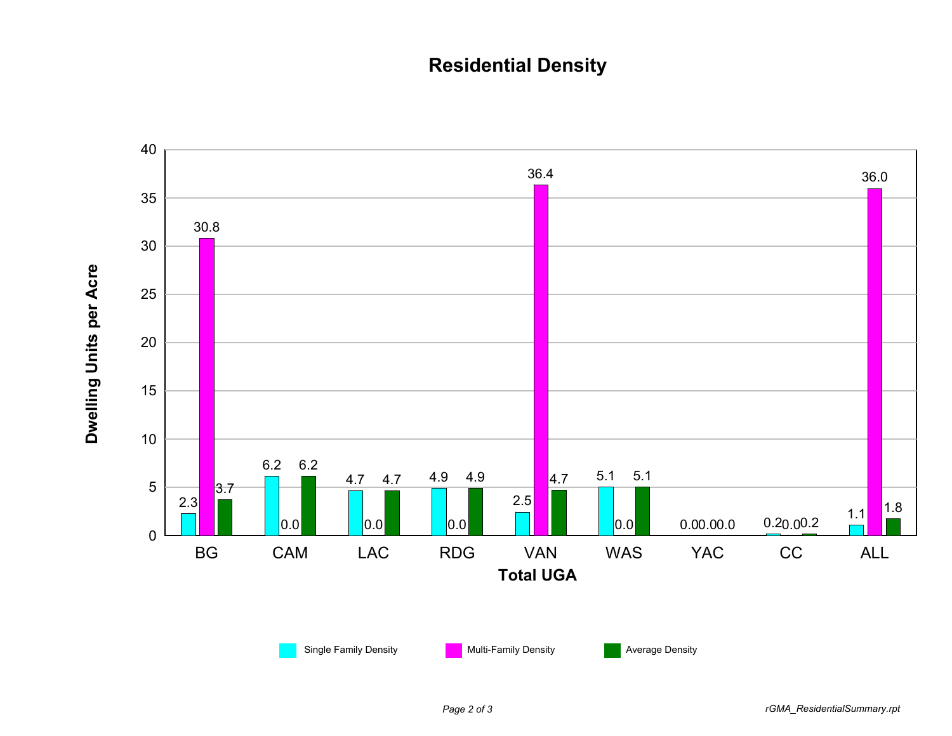## **Residential Density**